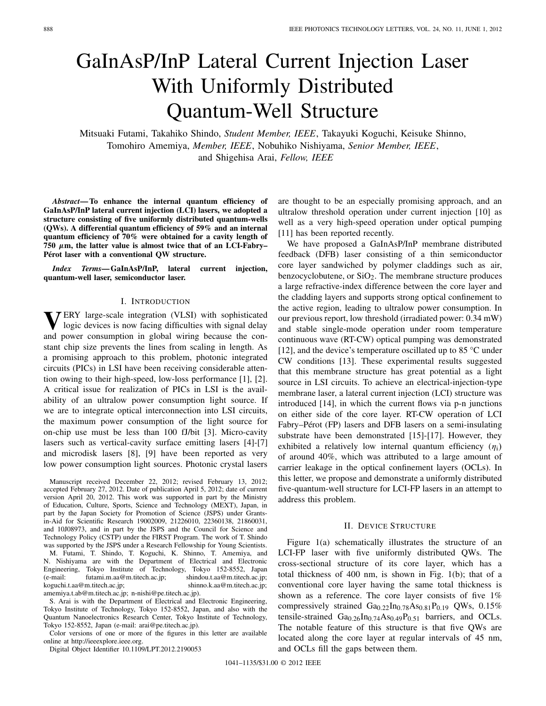# GaInAsP/InP Lateral Current Injection Laser With Uniformly Distributed Quantum-Well Structure

Mitsuaki Futami, Takahiko Shindo, *Student Member, IEEE*, Takayuki Koguchi, Keisuke Shinno, Tomohiro Amemiya, *Member, IEEE*, Nobuhiko Nishiyama, *Senior Member, IEEE*, and Shigehisa Arai, *Fellow, IEEE*

*Abstract***— To enhance the internal quantum efficiency of GaInAsP/InP lateral current injection (LCI) lasers, we adopted a structure consisting of five uniformly distributed quantum-wells (QWs). A differential quantum efficiency of 59% and an internal quantum efficiency of 70% were obtained for a cavity length of 750** *µ***m, the latter value is almost twice that of an LCI-Fabry– Pérot laser with a conventional QW structure.**

*Index Terms***— GaInAsP/InP, lateral current injection, quantum-well laser, semiconductor laser.**

#### I. INTRODUCTION

**V**ERY large-scale integration (VLSI) with sophisticated logic devices is now facing difficulties with signal delay and power consumption in global wiring because the constant chip size prevents the lines from scaling in length. As a promising approach to this problem, photonic integrated circuits (PICs) in LSI have been receiving considerable attention owing to their high-speed, low-loss performance [1], [2]. A critical issue for realization of PICs in LSI is the availability of an ultralow power consumption light source. If we are to integrate optical interconnection into LSI circuits, the maximum power consumption of the light source for on-chip use must be less than 100 fJ/bit [3]. Micro-cavity lasers such as vertical-cavity surface emitting lasers [4]-[7] and microdisk lasers [8], [9] have been reported as very low power consumption light sources. Photonic crystal lasers

Manuscript received December 22, 2012; revised February 13, 2012; accepted February 27, 2012. Date of publication April 5, 2012; date of current version April 20, 2012. This work was supported in part by the Ministry of Education, Culture, Sports, Science and Technology (MEXT), Japan, in part by the Japan Society for Promotion of Science (JSPS) under Grantsin-Aid for Scientific Research 19002009, 21226010, 22360138, 21860031, and 10J08973, and in part by the JSPS and the Council for Science and Technology Policy (CSTP) under the FIRST Program. The work of T. Shindo was supported by the JSPS under a Research Fellowship for Young Scientists. M. Futami, T. Shindo, T. Koguchi, K. Shinno, T. Amemiya, and N. Nishiyama are with the Department of Electrical and Electronic Engineering, Tokyo Institute of Technology, Tokyo 152-8552, Japan (e-mail: futami.m.aa@m.titech.ac.jp; shindou.t.aa@m.titech.ac.jp; koguchi.t.aa@m.titech.ac.jp; shinno.k.aa@m.titech.ac.jp; amemiya.t.ab@m.titech.ac.jp; n-nishi@pe.titech.ac.jp).

S. Arai is with the Department of Electrical and Electronic Engineering, Tokyo Institute of Technology, Tokyo 152-8552, Japan, and also with the Quantum Nanoelectronics Research Center, Tokyo Institute of Technology, Tokyo 152-8552, Japan (e-mail: arai@pe.titech.ac.jp).

Color versions of one or more of the figures in this letter are available online at http://ieeexplore.ieee.org.

Digital Object Identifier 10.1109/LPT.2012.2190053

are thought to be an especially promising approach, and an ultralow threshold operation under current injection [10] as well as a very high-speed operation under optical pumping [11] has been reported recently.

We have proposed a GaInAsP/InP membrane distributed feedback (DFB) laser consisting of a thin semiconductor core layer sandwiched by polymer claddings such as air, benzocyclobutene, or  $SiO<sub>2</sub>$ . The membrane structure produces a large refractive-index difference between the core layer and the cladding layers and supports strong optical confinement to the active region, leading to ultralow power consumption. In our previous report, low threshold (irradiated power: 0.34 mW) and stable single-mode operation under room temperature continuous wave (RT-CW) optical pumping was demonstrated [12], and the device's temperature oscillated up to 85 °C under CW conditions [13]. These experimental results suggested that this membrane structure has great potential as a light source in LSI circuits. To achieve an electrical-injection-type membrane laser, a lateral current injection (LCI) structure was introduced [14], in which the current flows via p-n junctions on either side of the core layer. RT-CW operation of LCI Fabry–Pérot (FP) lasers and DFB lasers on a semi-insulating substrate have been demonstrated [15]-[17]. However, they exhibited a relatively low internal quantum efficiency  $(\eta_i)$ of around 40%, which was attributed to a large amount of carrier leakage in the optical confinement layers (OCLs). In this letter, we propose and demonstrate a uniformly distributed five-quantum-well structure for LCI-FP lasers in an attempt to address this problem.

## II. DEVICE STRUCTURE

Figure 1(a) schematically illustrates the structure of an LCI-FP laser with five uniformly distributed QWs. The cross-sectional structure of its core layer, which has a total thickness of 400 nm, is shown in Fig. 1(b); that of a conventional core layer having the same total thickness is shown as a reference. The core layer consists of five 1% compressively strained  $Ga_{0.22}In_{0.78}As_{0.81}P_{0.19}$  QWs, 0.15% tensile-strained  $Ga_{0.26}In_{0.74}As_{0.49}P_{0.51}$  barriers, and OCLs. The notable feature of this structure is that five QWs are located along the core layer at regular intervals of 45 nm, and OCLs fill the gaps between them.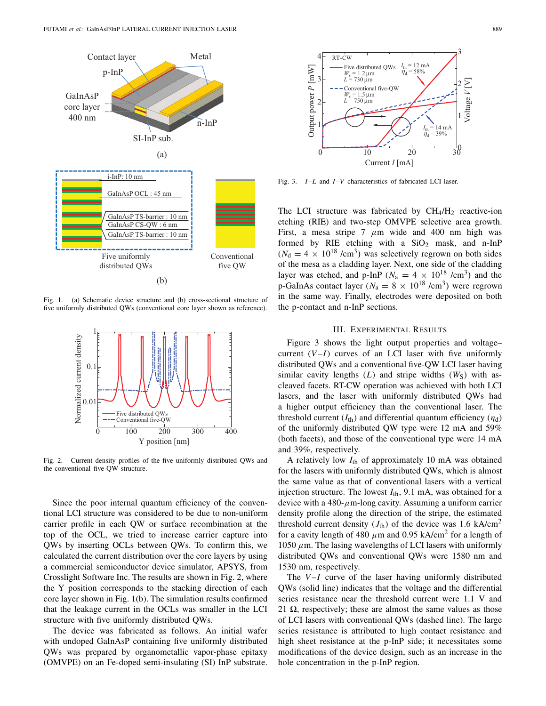

Fig. 1. (a) Schematic device structure and (b) cross-sectional structure of five uniformly distributed QWs (conventional core layer shown as reference).



Fig. 2. Current density profiles of the five uniformly distributed QWs and the conventional five-QW structure.

Since the poor internal quantum efficiency of the conventional LCI structure was considered to be due to non-uniform carrier profile in each QW or surface recombination at the top of the OCL, we tried to increase carrier capture into QWs by inserting OCLs between QWs. To confirm this, we calculated the current distribution over the core layers by using a commercial semiconductor device simulator, APSYS, from Crosslight Software Inc. The results are shown in Fig. 2, where the Y position corresponds to the stacking direction of each core layer shown in Fig. 1(b). The simulation results confirmed that the leakage current in the OCLs was smaller in the LCI structure with five uniformly distributed QWs.

The device was fabricated as follows. An initial wafer with undoped GaInAsP containing five uniformly distributed QWs was prepared by organometallic vapor-phase epitaxy (OMVPE) on an Fe-doped semi-insulating (SI) InP substrate.



Fig. 3. *I*–*L* and *I*–*V* characteristics of fabricated LCI laser.

The LCI structure was fabricated by  $CH_4/H_2$  reactive-ion etching (RIE) and two-step OMVPE selective area growth. First, a mesa stripe 7  $\mu$ m wide and 400 nm high was formed by RIE etching with a  $SiO<sub>2</sub>$  mask, and n-InP  $(N<sub>d</sub> = 4 \times 10^{18}$  /cm<sup>3</sup>) was selectively regrown on both sides of the mesa as a cladding layer. Next, one side of the cladding layer was etched, and p-InP ( $N_a = 4 \times 10^{18}$  /cm<sup>3</sup>) and the p-GaInAs contact layer ( $N_a = 8 \times 10^{18}$  /cm<sup>3</sup>) were regrown in the same way. Finally, electrodes were deposited on both the p-contact and n-InP sections.

# III. EXPERIMENTAL RESULTS

Figure 3 shows the light output properties and voltage– current  $(V-I)$  curves of an LCI laser with five uniformly distributed QWs and a conventional five-QW LCI laser having similar cavity lengths  $(L)$  and stripe widths  $(W<sub>S</sub>)$  with ascleaved facets. RT-CW operation was achieved with both LCI lasers, and the laser with uniformly distributed QWs had a higher output efficiency than the conventional laser. The threshold current  $(I_{\text{th}})$  and differential quantum efficiency  $(\eta_{\text{d}})$ of the uniformly distributed QW type were 12 mA and 59% (both facets), and those of the conventional type were 14 mA and 39%, respectively.

A relatively low *I*th of approximately 10 mA was obtained for the lasers with uniformly distributed QWs, which is almost the same value as that of conventional lasers with a vertical injection structure. The lowest  $I_{\text{th}}$ , 9.1 mA, was obtained for a device with a 480- $\mu$ m-long cavity. Assuming a uniform carrier density profile along the direction of the stripe, the estimated threshold current density  $(J<sub>th</sub>)$  of the device was 1.6 kA/cm<sup>2</sup> for a cavity length of 480  $\mu$ m and 0.95 kA/cm<sup>2</sup> for a length of 1050  $\mu$ m. The lasing wavelengths of LCI lasers with uniformly distributed QWs and conventional QWs were 1580 nm and 1530 nm, respectively.

The *V-I* curve of the laser having uniformly distributed QWs (solid line) indicates that the voltage and the differential series resistance near the threshold current were 1.1 V and 21  $\Omega$ , respectively; these are almost the same values as those of LCI lasers with conventional QWs (dashed line). The large series resistance is attributed to high contact resistance and high sheet resistance at the p-InP side; it necessitates some modifications of the device design, such as an increase in the hole concentration in the p-InP region.